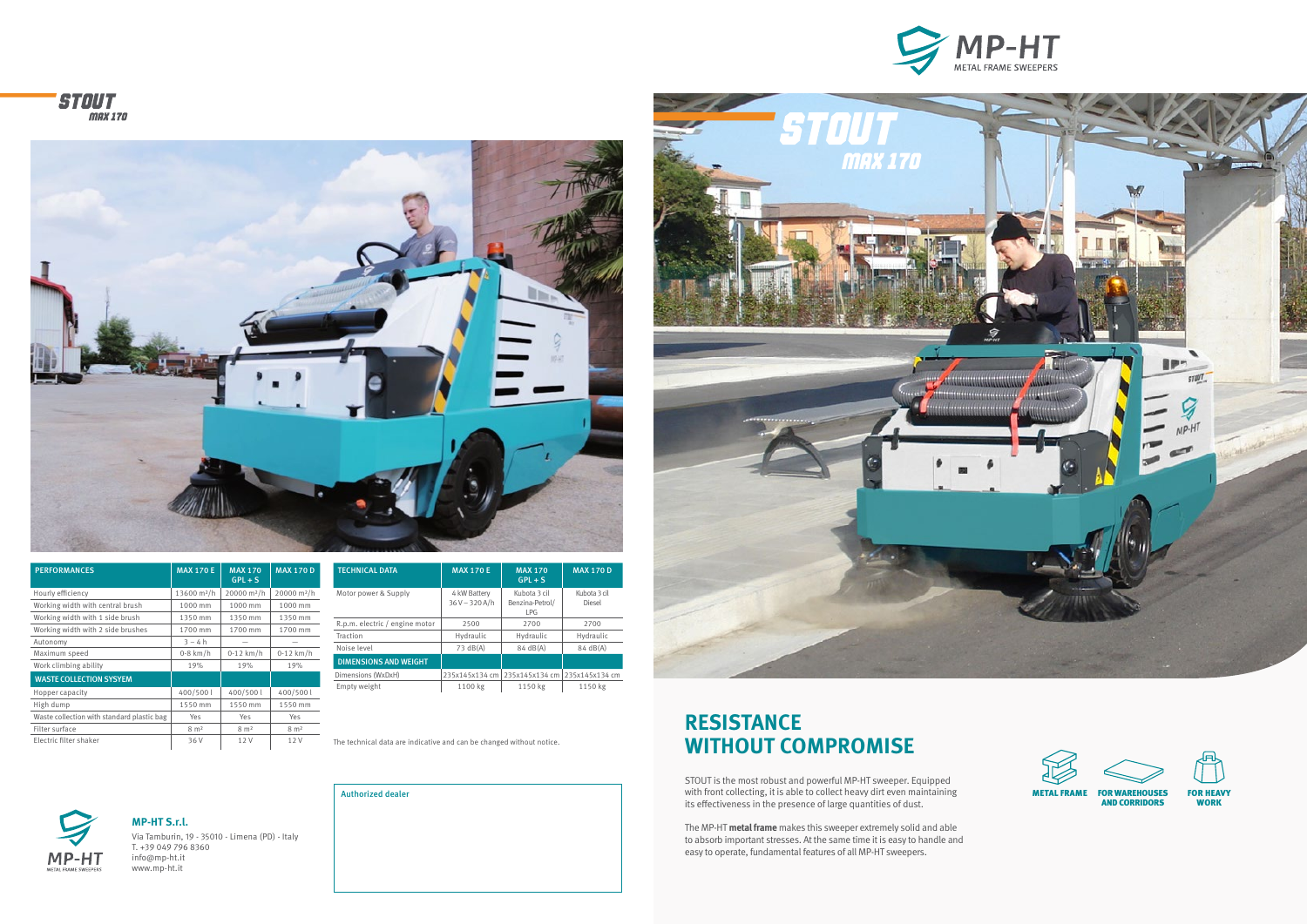The technical data are indicative and can be changed without notice.

**RESISTANCE**

# **WITHOUT COMPROMISE**

STOUT is the most robust and powerful MP-HT sweeper. Equipped with front collecting, it is able to collect heavy dirt even maintaining its effectiveness in the presence of large quantities of dust.

The MP-HT **metal frame** makes this sweeper extremely solid and able to absorb important stresses. At the same time it is easy to handle and easy to operate, fundamental features of all MP-HT sweepers.







**MP-HT S.r.l.**  Via Tamburin, 19 - 35010 - Limena (PD) - Italy T. +39 049 796 8360 info@mp-ht.it www.mp-ht.it











| <b>PERFORMANCES</b>                        | <b>MAX 170 E</b>        | <b>MAX 170</b><br>$GPL + S$ | <b>MAX 170 D</b>        |
|--------------------------------------------|-------------------------|-----------------------------|-------------------------|
| Hourly efficiency                          | 13600 m <sup>2</sup> /h | 20000 m <sup>2</sup> /h     | 20000 m <sup>2</sup> /h |
| Working width with central brush           | 1000 mm                 | 1000 mm                     | 1000 mm                 |
| Working width with 1 side brush            | 1350 mm                 | 1350 mm                     | 1350 mm                 |
| Working width with 2 side brushes          | 1700 mm                 | 1700 mm                     | 1700 mm                 |
| Autonomy                                   | $3 - 4 h$               |                             |                         |
| Maximum speed                              | $0-8$ km/h              | $0-12$ km/h                 | $0-12$ km/h             |
| Work climbing ability                      | 19%                     | 19%                         | 19%                     |
| <b>WASTE COLLECTION SYSYEM</b>             |                         |                             |                         |
| Hopper capacity                            | 400/500l                | 400/500l                    | 400/500l                |
| High dump                                  | 1550 mm                 | 1550 mm                     | 1550 mm                 |
| Waste collection with standard plastic bag | Yes                     | Yes                         | Yes                     |
| Filter surface                             | $8 \text{ m}^2$         | $8 \text{ m}^2$             | $8 \text{ m}^2$         |
| Electric filter shaker                     | 36 V                    | 12V                         | 12V                     |

| <b>TECHNICAL DATA</b>          | <b>MAX 170 E</b>               | <b>MAX 170</b><br>$GPL + S$                   | <b>MAX 170 D</b>       |
|--------------------------------|--------------------------------|-----------------------------------------------|------------------------|
| Motor power & Supply           | 4 kW Battery<br>$36V - 320A/h$ | Kubota 3 cil<br>Benzina-Petrol/<br><b>LPG</b> | Kubota 3 cil<br>Diesel |
| R.p.m. electric / engine motor | 2500                           | 2700                                          | 2700                   |
| Traction                       | Hydraulic                      | Hydraulic                                     | Hydraulic              |
| Noise level                    | $73 \text{ dB(A)}$             | 84 dB(A)                                      | $84 \text{ dB(A)}$     |
| <b>DIMENSIONS AND WEIGHT</b>   |                                |                                               |                        |
| Dimensions (WxDxH)             | 235x145x134 cm                 | 235x145x134 cm                                | 235x145x134 cm         |
| Empty weight                   | 1100 kg                        | 1150 kg                                       | 1150 kg                |

Authorized dealer